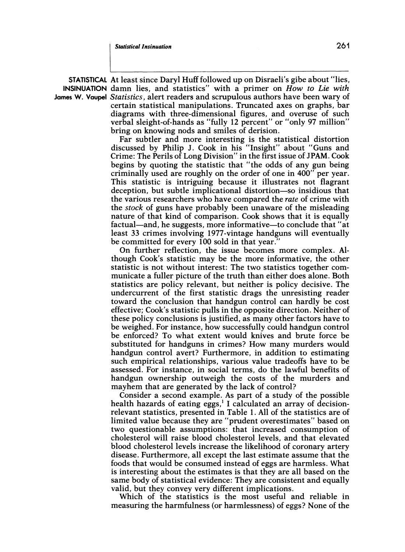**STATISTICAL At least since Daryl Huff followed up on Disraeli's gibe about "lies, INSINUATION** damn lies, and statistics" with a primer on *How to Lie with* **James W. Vaupel Statistics, alert readers and scrupulous authors have been wary of certain statistical manipulations. Truncated axes on graphs, bar diagrams with three-dimensional figures, and overuse of such verbal sleight-of-hands as "fully 12 percent" or "only 97 million" bring on knowing nods and smiles of derision.** 

> **Far subtler and more interesting is the statistical distortion discussed by Philip J. Cook in his "Insight" about "Guns and Crime: The Perils of Long Division" in the first issue of JPAM. Cook begins by quoting the statistic that "the odds of any gun being criminally used are roughly on the order of one in 400" per year. This statistic is intriguing because it illustrates not flagrant deception, but subtle implicational distortion-so insidious that the various researchers who have compared the rate of crime with the stock of guns have probably been unaware of the misleading nature of that kind of comparison. Cook shows that it is equally**  factual—and, he suggests, more informative—to conclude that "at **least 33 crimes involving 1977-vintage handguns will eventually be committed for every 100 sold in that year."**

> **On further reflection, the issue becomes more complex. Although Cook's statistic may be the more informative, the other statistic is not without interest: The two statistics together communicate a fuller picture of the truth than either does alone. Both statistics are policy relevant, but neither is policy decisive. The undercurrent of the first statistic drags the unresisting reader toward the conclusion that handgun control can hardly be cost effective; Cook's statistic pulls in the opposite direction. Neither of these policy conclusions is justified, as many other factors have to be weighed. For instance, how successfully could handgun control be enforced? To what extent would knives and brute force be substituted for handguns in crimes? How many murders would handgun control avert? Furthermore, in addition to estimating such empirical relationships, various value tradeoffs have to be assessed. For instance, in social terms, do the lawful benefits of handgun ownership outweigh the costs of the murders and mayhem that are generated by the lack of control?**

> **Consider a second example. As part of a study of the possible health hazards of eating eggs,' I calculated an array of decisionrelevant statistics, presented in Table 1. All of the statistics are of limited value because they are "prudent overestimates" based on two questionable assumptions: that increased consumption of cholesterol will raise blood cholesterol levels, and that elevated blood cholesterol levels increase the likelihood of coronary artery disease. Furthermore, all except the last estimate assume that the foods that would be consumed instead of eggs are harmless. What is interesting about the estimates is that they are all based on the same body of statistical evidence: They are consistent and equally valid, but they convey very different implications.**

> **Which of the statistics is the most useful and reliable in measuring the harmfulness (or harmlessness) of eggs? None of the**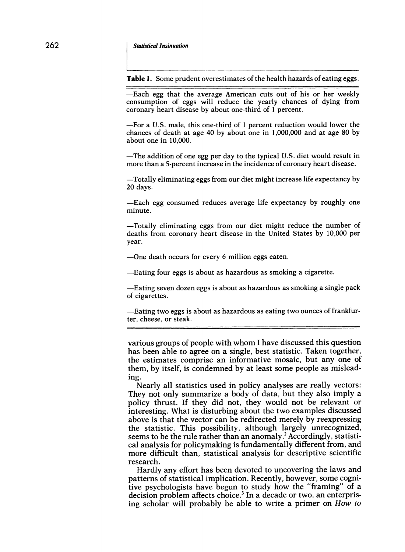**Table 1. Some prudent overestimates of the health hazards of eating eggs.** 

**-Each egg that the average American cuts out of his or her weekly consumption of eggs will reduce the yearly chances of dying from coronary heart disease by about one-third of 1 percent.** 

**-For a U.S. male, this one-third of 1 percent reduction would lower the chances of death at age 40 by about one in 1,000,000 and at age 80 by about one in 10,000.** 

**-The addition of one egg per day to the typical U.S. diet would result in more than a 5-percent increase in the incidence of coronary heart disease.** 

**-Totally eliminating eggs from our diet might increase life expectancy by 20 days.** 

**-Each egg consumed reduces average life expectancy by roughly one minute.** 

**-Totally eliminating eggs from our diet might reduce the number of deaths from coronary heart disease in the United States by 10,000 per year.** 

**-One death occurs for every 6 million eggs eaten.** 

**-Eating four eggs is about as hazardous as smoking a cigarette.** 

**-Eating seven dozen eggs is about as hazardous as smoking a single pack of cigarettes.** 

**-Eating two eggs is about as hazardous as eating two ounces of frankfurter, cheese, or steak.** 

**various groups of people with whom I have discussed this question has been able to agree on a single, best statistic. Taken together, the estimates comprise an informative mosaic, but any one of them, by itself, is condemned by at least some people as misleading.** 

**Nearly all statistics used in policy analyses are really vectors: They not only summarize a body of data, but they also imply a policy thrust. If they did not, they would not be relevant or interesting. What is disturbing about the two examples discussed above is that the vector can be redirected merely by reexpressing the statistic. This possibility, although largely unrecognized, seems to be the rule rather than an anomaly.2 Accordingly, statistical analysis for policymaking is fundamentally different from, and more difficult than, statistical analysis for descriptive scientific research.** 

**Hardly any effort has been devoted to uncovering the laws and patterns of statistical implication. Recently, however, some cognitive psychologists have begun to study how the "framing" of a decision problem affects choice.3 In a decade or two, an enterprising scholar will probably be able to write a primer on How to**